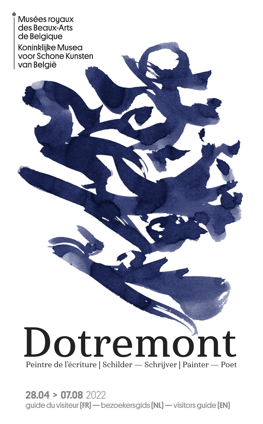Musées royaux des Beaux-Arts de Belgique **Koninklijke Musea** voor Schone Kunsten van Belaië

Dotremoi Peintre de l'écriture | Schilder — Schrijver | Painter — Poet

28.04 > 07.08 2022 guide du visiteur (FR) — bezoekersgids (NL) — visitors guide (EN)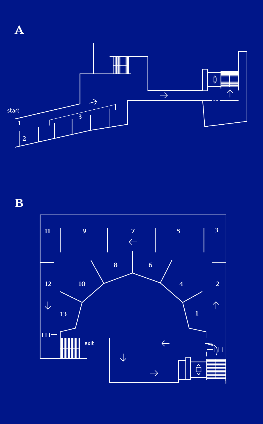

B

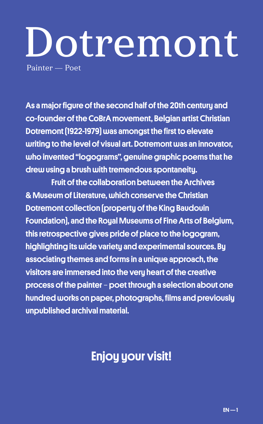# Dotremont Painter — Poet

As a major figure of the second half of the 20th century and co-founder of the CoBrA movement, Belgian artist Christian Dotremont (1922-1979) was amongst the first to elevate writing to the level of visual art. Dotremont was an innovator, who invented "logograms", genuine graphic poems that he drew using a brush with tremendous spontaneity.

Fruit of the collaboration between the Archives & Museum of Literature, which conserve the Christian Dotremont collection (property of the King Baudouin Foundation), and the Royal Museums of Fine Arts of Belgium, this retrospective gives pride of place to the logogram, highlighting its wide variety and experimental sources. By associating themes and forms in a unique approach, the visitors are immersed into the very heart of the creative process of the painter - poet through a selection about one hundred works on paper, photographs, films and previously unpublished archival material.

## Enjoy your visit!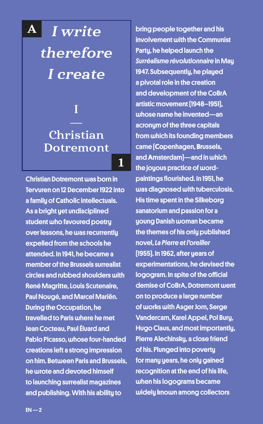I write therefore I create A

## Christian **Dotremont**

1

I

Christian Dotremont was born in Tervuren on 12 December 1922 into a family of Catholic intellectuals. As a bright yet undisciplined student who favoured poetry over lessons, he was recurrently expelled from the schools he attended. In 1941, he became a member of the Brussels surrealist circles and rubbed shoulders with René Magritte, Louis Scutenaire, Paul Nougé, and Marcel Mariën. During the Occupation, he travelled to Paris where he met Jean Cocteau, Paul Éluard and Pablo Picasso, whose four-handed creations left a strong impression on him. Between Paris and Brussels, he wrote and devoted himself to launching surrealist magazines and publishing. With his ability to

bring people together and his involvement with the Communist Party, he helped launch the *Surréalisme révolutionnaire* in May 1947. Subsequently, he played a pivotal role in the creation and development of the CoBrA artistic movement (1948–1951), whose name he invented—an acronym of the three capitals from which its founding members came (**Co**penhagen, **Br**ussels, and **A**msterdam)—and in which the joyous practice of wordpaintings flourished. In 1951, he was diagnosed with tuberculosis. His time spent in the Silkeborg sanatorium and passion for a young Danish woman became the themes of his only published novel, *La Pierre et l'oreiller* (1955). In 1962, after years of experimentations, he devised the logogram. In spite of the official demise of CoBrA, Dotremont went on to produce a large number of works with Asger Jorn, Serge Vandercam, Karel Appel, Pol Bury, Hugo Claus, and most importantly, Pierre Alechinsky, a close friend of his. Plunged into poverty for manu years, he only gained recognition at the end of his life. when his logograms became widely known among collectors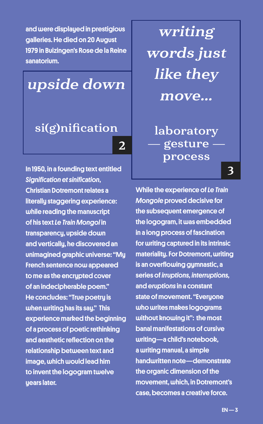and were displayed in prestigious galleries. He died on 20 August 1979 in Buizingen's Rose de la Reine sanatorium.

upside down

## si(g)nification

2

In 1950, in a founding text entitled *Signification et sinification*, Christian Dotremont relates a literally staggering experience: while reading the manuscript of his text *Le Train Mongol* in transparency, upside down and vertically, he discovered an unimagined graphic universe: "My French sentence now appeared to me as the encrypted cover of an indecipherable poem." He concludes: "True poetry is when writing has its say." This experience marked the beginning of a process of poetic rethinking and aesthetic reflection on the relationship between text and image, which would lead him to invent the logogram twelve uears later.

writing words just like they move...

laboratory gesture process

3

While the experience of *Le Train Mongole* proved decisive for the subsequent emergence of the logogram, it was embedded in a long process of fascination for writing captured in its intrinsic materiality. For Dotremont, writing is an overflowing gymnastic, a series of *irruptions, interruptions,* and *eruptions* in a constant state of movement. "Everyone who writes makes logograms without knowing it": the most banal manifestations of cursive writing—a child's notebook, a writing manual, a simple handwritten note—demonstrate the organic dimension of the movement, which, in Dotremont's case, becomes a creative force.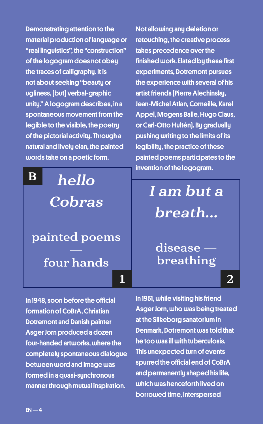Demonstrating attention to the material production of language or "real linguistics", the "construction" of the logogram does not obey the traces of calligraphy. It is not about seeking "beauty or ugliness, [but] verbal-graphic unity." A logogram describes, in a spontaneous movement from the legible to the visible, the poetry of the pictorial activity. Through a natural and lively elan, the painted words take on a poetic form.

hello **Cobras** painted poems four hands B

In 1948, soon before the official formation of CoBrA, Christian Dotremont and Danish painter Asger Jorn produced a dozen four-handed artworks, where the completely spontaneous dialogue between word and image was formed in a quasi-sunchronous manner through mutual inspiration.

Not allowing any deletion or retouching, the creative process takes precedence over the finished work. Elated by these first experiments, Dotremont pursues the experience with several of his artist friends (Pierre Alechinsky, Jean-Michel Atlan, Corneille, Karel Appel, Mogens Balle, Hugo Claus, or Carl-Otto Hultén). By gradually pushing writing to the limits of its legibility, the practice of these painted poems participates to the invention of the logogram.

> I am but a breath…

disease breathing

1 2

In 1951, while visiting his friend Asger Jorn, who was being treated at the Silkeborg sanatorium in Denmark, Dotremont was told that he too was ill with tuberculosis. This unexpected turn of events spurred the official end of CoBrA and permanently shaped his life, which was henceforth lived on borrowed time, interspersed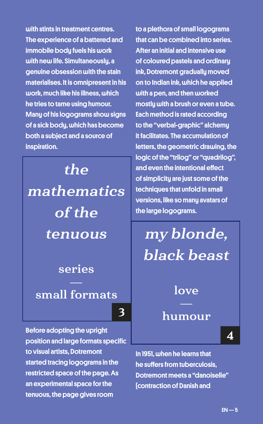with stints in treatment centres. The experience of a battered and immobile body fuels his work with new life. Simultaneouslu, a genuine obsession with the stain materialises. It is omnipresent in his work, much like his illness, which he tries to tame using humour. Many of his logograms show signs of a sick body, which has become both a subject and a source of inspiration.

the mathematics of the tenuous

series

## small formats

3

Before adopting the upright position and large formats specific to visual artists, Dotremont started tracing logograms in the restricted space of the page. As an experimental space for the tenuous, the page gives room

to a plethora of small logograms that can be combined into series. After an initial and intensive use of coloured pastels and ordinary ink, Dotremont gradually moved on to Indian ink, which he applied with a pen, and then worked mostly with a brush or even a tube. Each method is rated according to the "verbal-graphic" alchemy it facilitates. The accumulation of letters, the geometric drawing, the logic of the "trilog" or "quadrilog", and even the intentional effect of simplicity are just some of the techniques that unfold in small versions, like so many avatars of the large logograms.

# my blonde, black beast

### love

#### humour

4

In 1951, when he learns that he suffers from tuberculosis, Dotremont meets a "danoiselle" (contraction of Danish and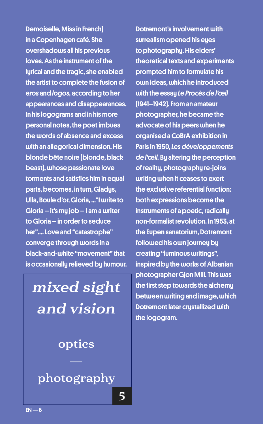Demoiselle, Miss in French) in a Copenhagen café. She overshadows all his previous loves. As the instrument of the lyrical and the tragic, she enabled the artist to complete the fusion of *eros* and *logos,* according to her appearances and disappearances. In his logograms and in his more personal notes, the poet imbues the words of absence and excess with an allegorical dimension. His blonde bête noire (blonde, black beast), whose passionate love torments and satisfies him in equal parts, becomes, in turn, Gladys, Ulla, Boule d'or, Gloria, ..."I write to Gloria – it's my job – I am a writer to Gloria – in order to seduce her".... Love and "catastrophe" converge through words in a black-and-white "movement" that is occasionally relieved by humour.

mixed sight and vision

optics

photography

5

Dotremont's involvement with surrealism opened his eyes to photography. His elders' theoretical texts and experiments prompted him to formulate his own ideas, which he introduced with the essay *Le Procès de l'œil*  (1941–1942). From an amateur photographer, he became the advocate of his peers when he organised a CoBrA exhibition in Paris in 1950, *Les développements de l'œil.* By altering the perception of reality, photography re-joins writing when it ceases to exert the exclusive referential function: both expressions become the instruments of a poetic, radically non-formalist revolution. In 1953, at the Eupen sanatorium, Dotremont followed his own journey by creating "luminous writings", inspired by the works of Albanian photographer Gjon Mili. This was the first step towards the alchemy between writing and image, which Dotremont later crystallized with the logogram.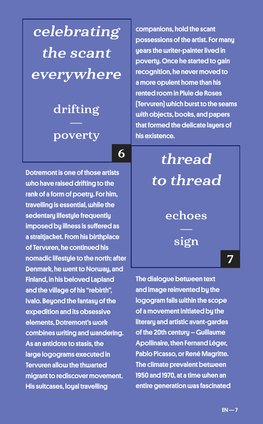celebrating the scant everywhere

# drifting

#### poverty

6

Dotremont is one of those artists who have raised drifting to the rank of a form of poetry. For him, travelling is essential, while the sedentary lifestyle frequently imposed by illness is suffered as a straitjacket. From his birthplace of Tervuren, he continued his nomadic lifestule to the north: after Denmark, he went to Norway, and Finland, in his beloved Lapland and the village of his "rebirth", Ivalo. Beyond the fantasy of the expedition and its obsessive elements, Dotremont's work combines writing and wandering. As an antidote to stasis, the large logograms executed in Tervuren allow the thwarted migrant to rediscover movement. His suitcases, loual travelling

companions, hold the scant possessions of the artist. For many uears the writer-painter lived in poverty. Once he started to gain recognition, he never moved to a more opulent home than his rented room in Pluie de Roses (Tervuren) which burst to the seams with objects, books, and papers that formed the delicate layers of his existence.

thread to thread echoes sign 7

The dialogue between text and image reinvented by the logogram falls within the scope of a movement initiated by the literary and artistic avant-gardes of the 20th century – Guillaume Apollinaire, then Fernand Léger, Pablo Picasso, or René Magritte. The climate prevalent between 1950 and 1970, at a time when an entire generation was fascinated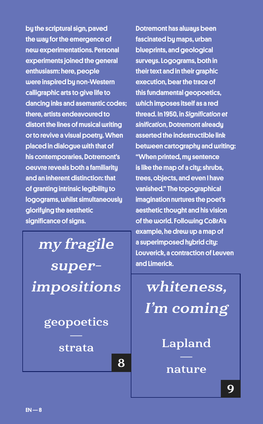by the scriptural sign, paved the way for the emergence of new experimentations. Personal experiments joined the general enthusiasm: here, people were inspired by non-Western calligraphic arts to give life to dancing inks and asemantic codes; there, artists endeavoured to distort the lines of musical writing or to revive a visual poetry. When placed in dialogue with that of his contemporaries, Dotremont's oeuvre reveals both a familiarity and an inherent distinction: that of granting intrinsic legibility to logograms, whilst simultaneously glorifying the aesthetic significance of signs.

my fragile superimpositions

geopoetics

#### strata

8

Dotremont has always been fascinated by maps, urban blueprints, and geological surveys. Logograms, both in their text and in their graphic execution, bear the trace of this fundamental geopoetics, which imposes itself as a red thread. In 1950, in *Signification et sinification*, Dotremont already asserted the indestructible link between cartography and writing: "When printed, my sentence is like the map of a city; shrubs, trees, objects, and even I have vanished." The topographical imagination nurtures the poet's aesthetic thought and his vision of the world. Following CoBrA's example, he drew up a map of a superimposed hybrid city: Louverick, a contraction of Leuven and Limerick.

whiteness, I'm coming

Lapland

nature

9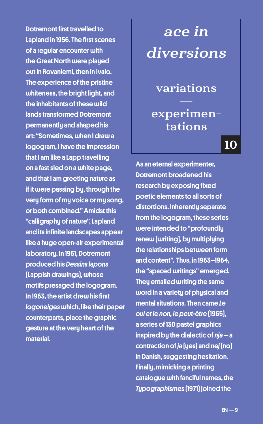Dotremont first travelled to Lapland in 1956. The first scenes of a regular encounter with the Great North were played out in Rovaniemi, then in Ivalo. The experience of the pristine whiteness, the bright light, and the inhabitants of these wild lands transformed Dotremont permanently and shaped his art: "Sometimes, when I draw a logogram, I have the impression that I am like a Lapp travelling on a fast sled on a white page, and that I am greeting nature as if it were passing by, through the very form of my voice or my song, or both combined." Amidst this "calligraphy of nature", Lapland and its infinite landscapes appear like a huge open-air experimental laboratory. In 1961, Dotremont produced his *Dessins lapons* (Lappish drawings), whose motifs presaged the logogram. In 1963, the artist drew his first *logoneiges* which, like their paper counterparts, place the graphic gesture at the very heart of the material.

# ace in diversions

variations

## experimentations

10

As an eternal experimenter, Dotremont broadened his research by exposing fixed poetic elements to all sorts of distortions. Inherently separate from the logogram, these series were intended to "profoundly renew [writing], by multiplying the relationships between form and content". Thus, in 1963–1964, the "spaced writings" emerged. They entailed writing the same word in a variety of physical and mental situations. Then came *Le oui et le non, le peut-être* (1965), a series of 130 pastel graphics inspired by the dialectic of *nja* – a contraction of *ja* (yes) and *nej* (no) in Danish, suggesting hesitation. Finally, mimicking a printing catalogue with fanciful names, the *Typographismes* (1971) joined the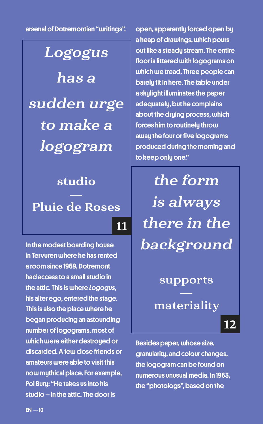arsenal of Dotremontian "writings".

## **Logogus**

has a sudden urge to make a logogram

# studio Pluie de Roses

11

In the modest boarding house in Tervuren where he has rented a room since 1969, Dotremont had access to a small studio in the attic. This is where *Logogus*, his alter ego, entered the stage. This is also the place where he began producing an astounding number of logograms, most of which were either destroyed or discarded. A few close friends or amateurs were able to visit this now mythical place. For example, Pol Bury: "He takes us into his studio – in the attic. The door is

open, apparently forced open by a heap of drawings, which pours out like a steady stream. The entire floor is littered with logograms on which we tread. Three people can barely fit in here. The table under a skylight illuminates the paper adequately, but he complains about the drying process, which forces him to routinely throw away the four or five logograms produced during the morning and to keep only one."

the form is always there in the background

#### supports

materiality

12

Besides paper, whose size, granularity, and colour changes, the logogram can be found on numerous unusual media. In 1963, the "photologs", based on the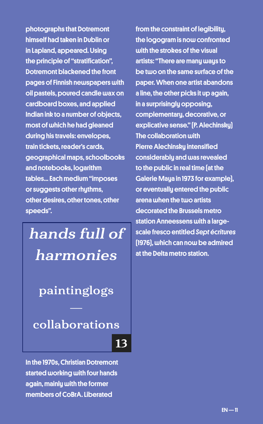photographs that Dotremont himself had taken in Dublin or in Lapland, appeared. Using the principle of "stratification", Dotremont blackened the front pages of Finnish newspapers with oil pastels, poured candle wax on cardboard boxes, and applied Indian ink to a number of objects, most of which he had gleaned during his travels: envelopes, train tickets, reader's cards, geographical maps, schoolbooks and notebooks, logarithm tables... Each medium "imposes or suggests other rhythms, other desires, other tones, other speeds".

# hands full of harmonies

## paintinglogs

collaborations

13

In the 1970s, Christian Dotremont started working with four hands again, mainly with the former members of CoBrA. Liberated

from the constraint of legibility, the logogram is now confronted with the strokes of the visual artists: "There are many ways to be two on the same surface of the paper. When one artist abandons a line, the other picks it up again, in a surprisingly opposing, complementary, decorative, or explicative sense." (P. Alechinsky) The collaboration with Pierre Alechinsky intensified considerably and was revealed to the public in real time (at the Galerie Maya in 1973 for example), or eventually entered the public arena when the two artists decorated the Brussels metro station Anneessens with a largescale fresco entitled *Sept écritures*  (1976), which can now be admired at the Delta metro station.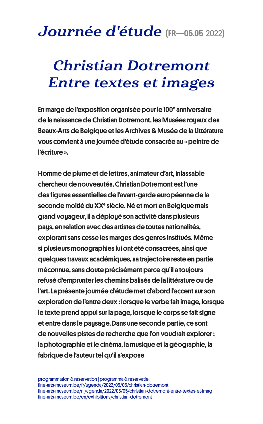## Journée d'étude [FR-05.05 2022]

## Christian Dotremont Entre textes et images

En marge de l'exposition organisée pour le 100<sup>e</sup> anniversaire de la naissance de Christian Dotremont, les Musées royaux des Beaux-Arts de Belgique et les Archives & Musée de la Littérature vous convient à une journée d'étude consacrée au « peintre de l'écriture ».

Homme de plume et de lettres, animateur d'art, inlassable chercheur de nouveautés, Christian Dotremont est l'une des figures essentielles de l'avant-garde européenne de la seconde moitié du XXª siècle. Né et mort en Belgique mais grand voyageur, il a déployé son activité dans plusieurs pays, en relation avec des artistes de toutes nationalités, explorant sans cesse les marges des genres institués. Même si plusieurs monographies lui ont été consacrées, ainsi que quelques travaux académiques, sa trajectoire reste en partie méconnue, sans doute précisément parce qu'il a toujours refusé d'emprunter les chemins balisés de la littérature ou de l'art. La présente journée d'étude met d'abord l'accent sur son exploration de l'entre deux : lorsque le verbe fait image, lorsque le texte prend appui sur la page, lorsque le corps se fait signe et entre dans le paysage. Dans une seconde partie, ce sont de nouvelles pistes de recherche que l'on voudrait explorer : la photographie et le cinéma, la musique et la géographie, la fabrique de l'auteur tel qu'il s'expose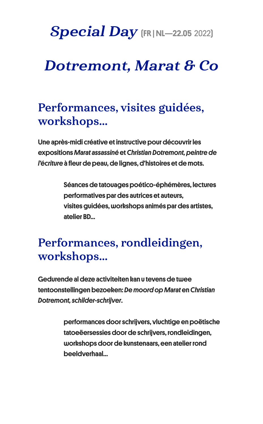## Special Day [FR | NL-22.05 2022]

## Dotremont, Marat & Co

## Performances, visites guidées, workshops...

Une après-midi créative et instructive pour découvrir les expositions *Marat assassiné* et *Christian Dotremont, peintre de l'écriture* à fleur de peau, de lignes, d'histoires et de mots.

> Séances de tatouages poético-éphémères, lectures performatives par des autrices et auteurs, visites guidées, workshops animés par des artistes, atelier BD…

## Performances, rondleidingen, workshops...

Gedurende al deze activiteiten kan u tevens de twee tentoonstellingen bezoeken: *De moord op Marat* en *Christian Dotremont, schilder-schrijver*.

> performances door schrijvers, vluchtige en poëtische tatoeëersessies door de schrijvers, rondleidingen, workshops door de kunstenaars, een atelier rond beeldverhaal…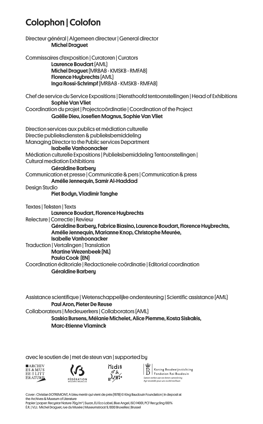### Colophon | Colofon

Directeur général | Algemeen directeur | General director Michel Draguet Commissaires d'exposition | Curatoren | Curators Laurence Boudart (AML) Michel Draguet (MRBAB - KMSKB - RMFAB) Florence Huubrechts [AML] Inga Rossi-Schrimpf (MRBAB - KMSKB - RMFAB) Chef de ser vice du Ser vice Expositions | Diensthoofd tentoonstellingen | Head of Exhibitions Sophie Van Vliet Coordination du projet | Projectcoördinatie | Coordination of the Project Gaëlle Dieu, Josefien Magnus, Sophie Van Vliet Direction ser vices aux publics et médiation culturelle Directie publieksdiensten & publieksbemiddeling Managing Director to the Public services Department Isabelle Vanhoonacker Médiation culturelle Expositions | Publieksbemiddeling Tentoonstellingen | Cultural mediation Exhibitions Géraldine Barbery Communication et presse | Communicatie & pers | Communication & press Amélie Jennequin, Samir Al-Haddad Desian Studio Piet Bodun, Vladimir Tanghe Textes | Teksten | Texts Laurence Boudart, Florence Huybrechts Relecture | Correctie | Review Géraldine Barbery, Fabrice Biasino, Laurence Boudart, Florence Huybrechts, Amélie Jennequin, Marianne Knop, Christophe Meurée, Isabelle Vanhoonacker Traduction | Vertalingen | Translation Martine Wezenbeek (NL) Paula Cook (EN) Coordination éditoriale | Redactionele coördinatie | Editorial coordination Géraldine Barbery

Assistance scientifique | Wetenschappelijke ondersteuning | Scientific assistance (AML) Paul Aron, Pieter De Reuse Collaborateurs | Medewerkers | Collaborators (AML) Saskia Bursens, Mélanie Michelet, Alice Piemme, Kosta Siskakis, Marc-Etienne Vlaminck

avec le soutien de | met de steun van | supported by







Koning Boudewijnstichting  $\|\bar{\text{B}}\|$  Koning Boudewijnstichti Samen werken aan een betere samenlewi<br>Aair ensemble pour une société meilleure

Cover : Christian DOTREMONT, A bleu mentir qui vient de près ( 1978) © King Baudouin Foundation | in deposit at the Archives & Museum of Literature

Papier | paper: Recystar Nature 70g/m² | Swan, EU Eco Label, Blue Angel, ISO 14001, PCF Recycling 100 % É .R . | V.U.: Michel Draguet , rue du Musée | Museumstraat 9, 1000 Bruxelles | Brussel